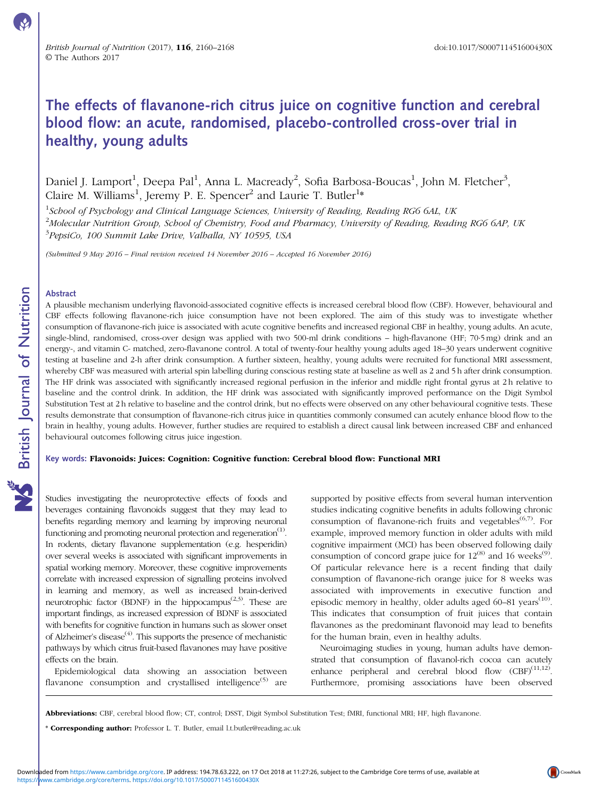# The effects of flavanone-rich citrus juice on cognitive function and cerebral blood flow: an acute, randomised, placebo-controlled cross-over trial in healthy, young adults

Daniel J. Lamport $^1$ , Deepa Pal $^1$ , Anna L. Macready $^2$ , Sofia Barbosa-Boucas $^1$ , John M. Fletcher $^3$ , Claire M. Williams<sup>1</sup>, Jeremy P. E. Spencer<sup>2</sup> and Laurie T. Butler<sup>1</sup>\*

 $^1$ School of Psychology and Clinical Language Sciences, University of Reading, Reading RG6 6AL, UK  $^2$ Molecular Nutrition Group, School of Chemistry, Food and Pharmacy, University of Reading, Reading RG6 6AP, UK <sup>3</sup>PepsiCo, 100 Summit Lake Drive, Valhalla, NY 10595, USA

(Submitted 9 May 2016 – Final revision received 14 November 2016 – Accepted 16 November 2016)

### Abstract

A plausible mechanism underlying flavonoid-associated cognitive effects is increased cerebral blood flow (CBF). However, behavioural and CBF effects following flavanone-rich juice consumption have not been explored. The aim of this study was to investigate whether consumption of flavanone-rich juice is associated with acute cognitive benefits and increased regional CBF in healthy, young adults. An acute, single-blind, randomised, cross-over design was applied with two 500-ml drink conditions – high-flavanone (HF; 70·5 mg) drink and an energy-, and vitamin C- matched, zero-flavanone control. A total of twenty-four healthy young adults aged 18–30 years underwent cognitive testing at baseline and 2-h after drink consumption. A further sixteen, healthy, young adults were recruited for functional MRI assessment, whereby CBF was measured with arterial spin labelling during conscious resting state at baseline as well as 2 and 5 h after drink consumption. The HF drink was associated with significantly increased regional perfusion in the inferior and middle right frontal gyrus at 2 h relative to baseline and the control drink. In addition, the HF drink was associated with significantly improved performance on the Digit Symbol Substitution Test at 2 h relative to baseline and the control drink, but no effects were observed on any other behavioural cognitive tests. These results demonstrate that consumption of flavanone-rich citrus juice in quantities commonly consumed can acutely enhance blood flow to the brain in healthy, young adults. However, further studies are required to establish a direct causal link between increased CBF and enhanced behavioural outcomes following citrus juice ingestion.

#### Key words: Flavonoids: Juices: Cognition: Cognitive function: Cerebral blood flow: Functional MRI

Studies investigating the neuroprotective effects of foods and beverages containing flavonoids suggest that they may lead to benefits regarding memory and learning by improving neuronal functioning and promoting neuronal protection and regeneration $<sup>(1)</sup>$  $<sup>(1)</sup>$  $<sup>(1)</sup>$ .</sup> In rodents, dietary flavanone supplementation (e.g. hesperidin) over several weeks is associated with significant improvements in spatial working memory. Moreover, these cognitive improvements correlate with increased expression of signalling proteins involved in learning and memory, as well as increased brain-derived neurotrophic factor (BDNF) in the hippocampus<sup> $(2,3)$  $(2,3)$  $(2,3)$ </sup>. These are important findings, as increased expression of BDNF is associated with benefits for cognitive function in humans such as slower onset of Alzheimer's disease<sup> $(4)$  $(4)$ </sup>. This supports the presence of mechanistic pathways by which citrus fruit-based flavanones may have positive effects on the brain.

Epidemiological data showing an association between flavanone consumption and crystallised intelligence<sup>[\(5](#page-7-0))</sup> are

supported by positive effects from several human intervention studies indicating cognitive benefits in adults following chronic consumption of flavanone-rich fruits and vegetables<sup> $(6,7)$ </sup>. For example, improved memory function in older adults with mild cognitive impairment (MCI) has been observed following daily consumption of concord grape juice for  $12^{(8)}$  $12^{(8)}$  $12^{(8)}$  and 16 weeks<sup>[\(9\)](#page-7-0)</sup>. Of particular relevance here is a recent finding that daily consumption of flavanone-rich orange juice for 8 weeks was associated with improvements in executive function and episodic memory in healthy, older adults aged 60-81 years<sup>[\(10\)](#page-7-0)</sup>. This indicates that consumption of fruit juices that contain flavanones as the predominant flavonoid may lead to benefits for the human brain, even in healthy adults.

Neuroimaging studies in young, human adults have demonstrated that consumption of flavanol-rich cocoa can acutely enhance peripheral and cerebral blood flow  $(CBF)^{(11,12)}$  $(CBF)^{(11,12)}$  $(CBF)^{(11,12)}$ . Furthermore, promising associations have been observed

Abbreviations: CBF, cerebral blood flow; CT, control; DSST, Digit Symbol Substitution Test; fMRI, functional MRI; HF, high flavanone.

<sup>\*</sup> Corresponding author: Professor L. T. Butler, email [l.t.butler@reading.ac.uk](mailto:l.t.butler@reading.ac.uk)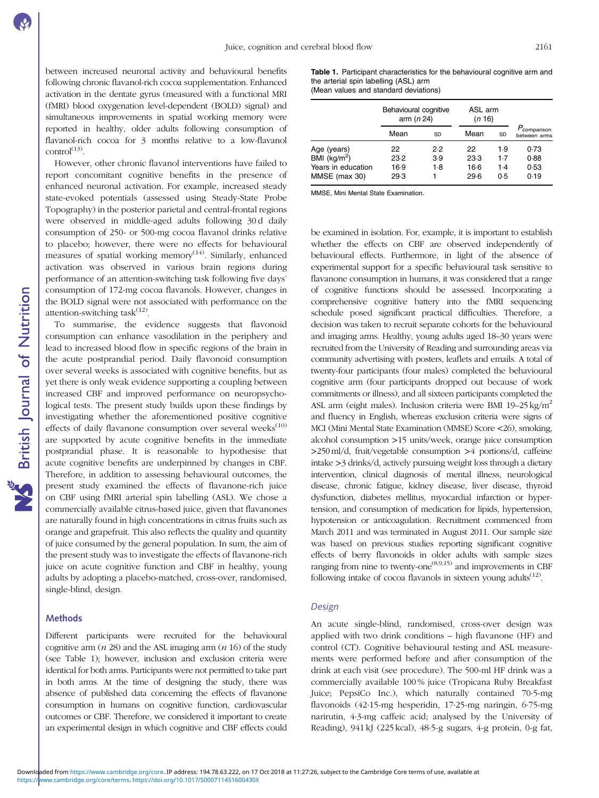between increased neuronal activity and behavioural benefits following chronic flavanol-rich cocoa supplementation. Enhanced activation in the dentate gyrus (measured with a functional MRI (fMRI) blood oxygenation level-dependent (BOLD) signal) and simultaneous improvements in spatial working memory were reported in healthy, older adults following consumption of flavanol-rich cocoa for 3 months relative to a low-flavanol  $control<sup>(13)</sup>$  $control<sup>(13)</sup>$  $control<sup>(13)</sup>$ 

However, other chronic flavanol interventions have failed to report concomitant cognitive benefits in the presence of enhanced neuronal activation. For example, increased steady state-evoked potentials (assessed using Steady-State Probe Topography) in the posterior parietal and central-frontal regions were observed in middle-aged adults following 30 d daily consumption of 250- or 500-mg cocoa flavanol drinks relative to placebo; however, there were no effects for behavioural measures of spatial working memory<sup>[\(14\)](#page-7-0)</sup>. Similarly, enhanced activation was observed in various brain regions during performance of an attention-switching task following five days' consumption of 172-mg cocoa flavanols. However, changes in the BOLD signal were not associated with performance on the attention-switching task<sup>([12](#page-7-0))</sup>.

To summarise, the evidence suggests that flavonoid consumption can enhance vasodilation in the periphery and lead to increased blood flow in specific regions of the brain in the acute postprandial period. Daily flavonoid consumption over several weeks is associated with cognitive benefits, but as yet there is only weak evidence supporting a coupling between increased CBF and improved performance on neuropsychological tests. The present study builds upon these findings by investigating whether the aforementioned positive cognitive effects of daily flavanone consumption over several weeks<sup> $(10)$  $(10)$ </sup> are supported by acute cognitive benefits in the immediate postprandial phase. It is reasonable to hypothesise that acute cognitive benefits are underpinned by changes in CBF. Therefore, in addition to assessing behavioural outcomes, the present study examined the effects of flavanone-rich juice on CBF using fMRI arterial spin labelling (ASL). We chose a commercially available citrus-based juice, given that flavanones are naturally found in high concentrations in citrus fruits such as orange and grapefruit. This also reflects the quality and quantity of juice consumed by the general population. In sum, the aim of the present study was to investigate the effects of flavanone-rich juice on acute cognitive function and CBF in healthy, young adults by adopting a placebo-matched, cross-over, randomised, single-blind, design.

#### **Methods**

Different participants were recruited for the behavioural cognitive arm  $(n 28)$  and the ASL imaging arm  $(n 16)$  of the study (see Table 1); however, inclusion and exclusion criteria were identical for both arms. Participants were not permitted to take part in both arms. At the time of designing the study, there was absence of published data concerning the effects of flavanone consumption in humans on cognitive function, cardiovascular outcomes or CBF. Therefore, we considered it important to create an experimental design in which cognitive and CBF effects could

Table 1. Participant characteristics for the behavioural cognitive arm and the arterial spin labelling (ASL) arm

| (Mean values and standard deviations) |  |  |
|---------------------------------------|--|--|
|---------------------------------------|--|--|

|                                                                       | Behavioural cognitive<br>arm $(n 24)$ |                   | ASL arm<br>(n 16)            |                          |                                         |
|-----------------------------------------------------------------------|---------------------------------------|-------------------|------------------------------|--------------------------|-----------------------------------------|
|                                                                       | Mean                                  | SD                | Mean                         | SD                       | P <sub>comparison</sub><br>between arms |
| Age (years)<br>BMI ( $kg/m2$ )<br>Years in education<br>MMSE (max 30) | 22<br>23.2<br>16.9<br>29.3            | 2.2<br>3.9<br>1.8 | 22<br>23.3<br>$16-6$<br>29.6 | 1.9<br>1.7<br>1.4<br>0.5 | 0.73<br>0.88<br>0.53<br>0.19            |

MMSE, Mini Mental State Examination.

be examined in isolation. For, example, it is important to establish whether the effects on CBF are observed independently of behavioural effects. Furthermore, in light of the absence of experimental support for a specific behavioural task sensitive to flavanone consumption in humans, it was considered that a range of cognitive functions should be assessed. Incorporating a comprehensive cognitive battery into the fMRI sequencing schedule posed significant practical difficulties. Therefore, a decision was taken to recruit separate cohorts for the behavioural and imaging arms. Healthy, young adults aged 18–30 years were recruited from the University of Reading and surrounding areas via community advertising with posters, leaflets and emails. A total of twenty-four participants (four males) completed the behavioural cognitive arm (four participants dropped out because of work commitments or illness), and all sixteen participants completed the ASL arm (eight males). Inclusion criteria were BMI 19-25 kg/m<sup>2</sup> and fluency in English, whereas exclusion criteria were signs of MCI (Mini Mental State Examination (MMSE) Score <26), smoking, alcohol consumption >15 units/week, orange juice consumption >250 ml/d, fruit/vegetable consumption >4 portions/d, caffeine intake >3 drinks/d, actively pursuing weight loss through a dietary intervention, clinical diagnosis of mental illness, neurological disease, chronic fatigue, kidney disease, liver disease, thyroid dysfunction, diabetes mellitus, myocardial infarction or hypertension, and consumption of medication for lipids, hypertension, hypotension or anticoagulation. Recruitment commenced from March 2011 and was terminated in August 2011. Our sample size was based on previous studies reporting significant cognitive effects of berry flavonoids in older adults with sample sizes ranging from nine to twenty-one<sup> $(8,9,15)$  $(8,9,15)$  $(8,9,15)$ </sup> and improvements in CBF following intake of cocoa flavanols in sixteen young adults<sup> $(12)$ </sup>.

#### Design

An acute single-blind, randomised, cross-over design was applied with two drink conditions – high flavanone (HF) and control (CT). Cognitive behavioural testing and ASL measurements were performed before and after consumption of the drink at each visit (see procedure). The 500-ml HF drink was a commercially available 100 % juice (Tropicana Ruby Breakfast Juice; PepsiCo Inc.), which naturally contained 70·5-mg flavonoids (42·15-mg hesperidin, 17·25-mg naringin, 6·75-mg narirutin, 4·3-mg caffeic acid; analysed by the University of Reading), 941 kJ (225 kcal), 48·5-g sugars, 4-g protein, 0-g fat,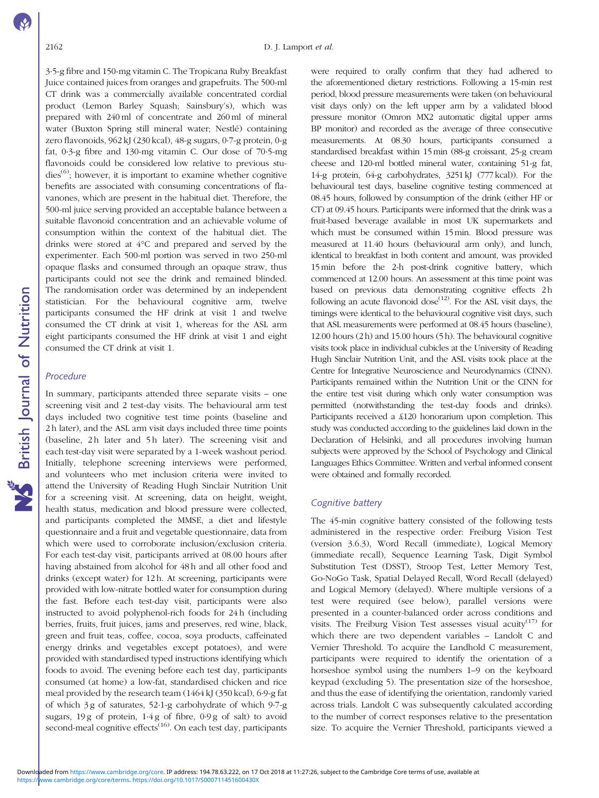3·5-g fibre and 150-mg vitamin C. The Tropicana Ruby Breakfast Juice contained juices from oranges and grapefruits. The 500-ml CT drink was a commercially available concentrated cordial product (Lemon Barley Squash; Sainsbury's), which was prepared with 240 ml of concentrate and 260 ml of mineral water (Buxton Spring still mineral water; Nestlé) containing zero flavonoids, 962 kJ (230 kcal), 48-g sugars, 0·7-g protein, 0-g fat, 0·3-g fibre and 130-mg vitamin C. Our dose of 70·5-mg flavonoids could be considered low relative to previous stu- $dies^{(6)}$  $dies^{(6)}$  $dies^{(6)}$ ; however, it is important to examine whether cognitive benefits are associated with consuming concentrations of flavanones, which are present in the habitual diet. Therefore, the 500-ml juice serving provided an acceptable balance between a suitable flavonoid concentration and an achievable volume of consumption within the context of the habitual diet. The drinks were stored at 4°C and prepared and served by the experimenter. Each 500-ml portion was served in two 250-ml opaque flasks and consumed through an opaque straw, thus participants could not see the drink and remained blinded. The randomisation order was determined by an independent statistician. For the behavioural cognitive arm, twelve participants consumed the HF drink at visit 1 and twelve consumed the CT drink at visit 1, whereas for the ASL arm eight participants consumed the HF drink at visit 1 and eight consumed the CT drink at visit 1.

# Procedure

In summary, participants attended three separate visits – one screening visit and 2 test-day visits. The behavioural arm test days included two cognitive test time points (baseline and 2 h later), and the ASL arm visit days included three time points (baseline, 2h later and 5h later). The screening visit and each test-day visit were separated by a 1-week washout period. Initially, telephone screening interviews were performed, and volunteers who met inclusion criteria were invited to attend the University of Reading Hugh Sinclair Nutrition Unit for a screening visit. At screening, data on height, weight, health status, medication and blood pressure were collected, and participants completed the MMSE, a diet and lifestyle questionnaire and a fruit and vegetable questionnaire, data from which were used to corroborate inclusion/exclusion criteria. For each test-day visit, participants arrived at 08.00 hours after having abstained from alcohol for 48 h and all other food and drinks (except water) for 12 h. At screening, participants were provided with low-nitrate bottled water for consumption during the fast. Before each test-day visit, participants were also instructed to avoid polyphenol-rich foods for 24 h (including berries, fruits, fruit juices, jams and preserves, red wine, black, green and fruit teas, coffee, cocoa, soya products, caffeinated energy drinks and vegetables except potatoes), and were provided with standardised typed instructions identifying which foods to avoid. The evening before each test day, participants consumed (at home) a low-fat, standardised chicken and rice meal provided by the research team (1464 kJ (350 kcal), 6·9-g fat of which 3 g of saturates, 52·1-g carbohydrate of which 9·7-g sugars, 19 g of protein, 1·4 g of fibre, 0·9 g of salt) to avoid second-meal cognitive effects<sup>[\(16](#page-7-0))</sup>. On each test day, participants

were required to orally confirm that they had adhered to the aforementioned dietary restrictions. Following a 15-min rest period, blood pressure measurements were taken (on behavioural visit days only) on the left upper arm by a validated blood pressure monitor (Omron MX2 automatic digital upper arms BP monitor) and recorded as the average of three consecutive measurements. At 08.30 hours, participants consumed a standardised breakfast within 15 min (88-g croissant, 25-g cream cheese and 120-ml bottled mineral water, containing 51-g fat, 14-g protein, 64-g carbohydrates, 3251 kJ (777 kcal)). For the behavioural test days, baseline cognitive testing commenced at 08.45 hours, followed by consumption of the drink (either HF or CT) at 09.45 hours. Participants were informed that the drink was a fruit-based beverage available in most UK supermarkets and which must be consumed within 15 min. Blood pressure was measured at 11.40 hours (behavioural arm only), and lunch, identical to breakfast in both content and amount, was provided 15 min before the 2-h post-drink cognitive battery, which commenced at 12.00 hours. An assessment at this time point was based on previous data demonstrating cognitive effects 2h following an acute flavonoid dose<sup> $(12)$ </sup>. For the ASL visit days, the timings were identical to the behavioural cognitive visit days, such that ASL measurements were performed at 08.45 hours (baseline), 12.00 hours (2 h) and 15.00 hours (5 h). The behavioural cognitive visits took place in individual cubicles at the University of Reading Hugh Sinclair Nutrition Unit, and the ASL visits took place at the Centre for Integrative Neuroscience and Neurodynamics (CINN). Participants remained within the Nutrition Unit or the CINN for the entire test visit during which only water consumption was permitted (notwithstanding the test-day foods and drinks). Participants received a £120 honorarium upon completion. This study was conducted according to the guidelines laid down in the Declaration of Helsinki, and all procedures involving human subjects were approved by the School of Psychology and Clinical Languages Ethics Committee. Written and verbal informed consent were obtained and formally recorded.

# Cognitive battery

The 45-min cognitive battery consisted of the following tests administered in the respective order: Freiburg Vision Test (version 3.6.3), Word Recall (immediate), Logical Memory (immediate recall), Sequence Learning Task, Digit Symbol Substitution Test (DSST), Stroop Test, Letter Memory Test, Go-NoGo Task, Spatial Delayed Recall, Word Recall (delayed) and Logical Memory (delayed). Where multiple versions of a test were required (see below), parallel versions were presented in a counter-balanced order across conditions and visits. The Freiburg Vision Test assesses visual acuity<sup>[\(17\)](#page-7-0)</sup> for which there are two dependent variables – Landolt C and Vernier Threshold. To acquire the Landhold C measurement, participants were required to identify the orientation of a horseshoe symbol using the numbers 1–9 on the keyboard keypad (excluding 5). The presentation size of the horseshoe, and thus the ease of identifying the orientation, randomly varied across trials. Landolt C was subsequently calculated according to the number of correct responses relative to the presentation size. To acquire the Vernier Threshold, participants viewed a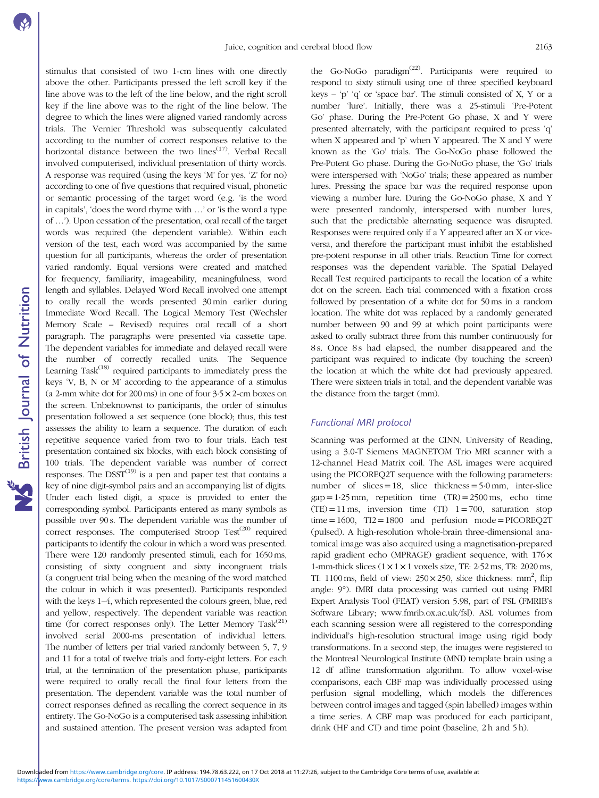stimulus that consisted of two 1-cm lines with one directly above the other. Participants pressed the left scroll key if the line above was to the left of the line below, and the right scroll key if the line above was to the right of the line below. The degree to which the lines were aligned varied randomly across trials. The Vernier Threshold was subsequently calculated according to the number of correct responses relative to the horizontal distance between the two lines<sup> $(17)$ </sup>. Verbal Recall involved computerised, individual presentation of thirty words. A response was required (using the keys 'M' for yes, 'Z' for no) according to one of five questions that required visual, phonetic or semantic processing of the target word (e.g. 'is the word in capitals', 'does the word rhyme with …' or 'is the word a type of …'). Upon cessation of the presentation, oral recall of the target words was required (the dependent variable). Within each version of the test, each word was accompanied by the same question for all participants, whereas the order of presentation varied randomly. Equal versions were created and matched for frequency, familiarity, imageability, meaningfulness, word length and syllables. Delayed Word Recall involved one attempt to orally recall the words presented 30 min earlier during Immediate Word Recall. The Logical Memory Test (Wechsler Memory Scale – Revised) requires oral recall of a short paragraph. The paragraphs were presented via cassette tape. The dependent variables for immediate and delayed recall were the number of correctly recalled units. The Sequence Learning Task $(18)$  $(18)$  required participants to immediately press the keys 'V, B, N or M' according to the appearance of a stimulus (a 2-mm white dot for  $200 \text{ ms}$ ) in one of four  $3.5 \times 2$ -cm boxes on the screen. Unbeknownst to participants, the order of stimulus presentation followed a set sequence (one block); thus, this test assesses the ability to learn a sequence. The duration of each repetitive sequence varied from two to four trials. Each test presentation contained six blocks, with each block consisting of 100 trials. The dependent variable was number of correct responses. The  $D SST^{(19)}$  $D SST^{(19)}$  $D SST^{(19)}$  is a pen and paper test that contains a key of nine digit-symbol pairs and an accompanying list of digits. Under each listed digit, a space is provided to enter the corresponding symbol. Participants entered as many symbols as possible over 90 s. The dependent variable was the number of correct responses. The computerised Stroop Test $(20)$  required participants to identify the colour in which a word was presented. There were 120 randomly presented stimuli, each for 1650 ms, consisting of sixty congruent and sixty incongruent trials (a congruent trial being when the meaning of the word matched the colour in which it was presented). Participants responded with the keys 1–4, which represented the colours green, blue, red and yellow, respectively. The dependent variable was reaction time (for correct responses only). The Letter Memory Task<sup>([21](#page-7-0))</sup> involved serial 2000-ms presentation of individual letters. The number of letters per trial varied randomly between 5, 7, 9 and 11 for a total of twelve trials and forty-eight letters. For each trial, at the termination of the presentation phase, participants were required to orally recall the final four letters from the presentation. The dependent variable was the total number of correct responses defined as recalling the correct sequence in its entirety. The Go-NoGo is a computerised task assessing inhibition and sustained attention. The present version was adapted from

the Go-NoGo paradigm<sup> $(22)$ </sup>. Participants were required to respond to sixty stimuli using one of three specified keyboard keys – 'p' 'q' or 'space bar'. The stimuli consisted of  $X$ ,  $Y$  or a number 'lure'. Initially, there was a 25-stimuli 'Pre-Potent Go' phase. During the Pre-Potent Go phase, X and Y were presented alternately, with the participant required to press 'q' when X appeared and 'p' when Y appeared. The X and Y were known as the 'Go' trials. The Go-NoGo phase followed the Pre-Potent Go phase. During the Go-NoGo phase, the 'Go' trials were interspersed with 'NoGo' trials; these appeared as number lures. Pressing the space bar was the required response upon viewing a number lure. During the Go-NoGo phase, X and Y were presented randomly, interspersed with number lures, such that the predictable alternating sequence was disrupted. Responses were required only if a Y appeared after an X or viceversa, and therefore the participant must inhibit the established pre-potent response in all other trials. Reaction Time for correct responses was the dependent variable. The Spatial Delayed Recall Test required participants to recall the location of a white dot on the screen. Each trial commenced with a fixation cross followed by presentation of a white dot for 50 ms in a random location. The white dot was replaced by a randomly generated number between 90 and 99 at which point participants were asked to orally subtract three from this number continuously for 8s. Once 8s had elapsed, the number disappeared and the participant was required to indicate (by touching the screen) the location at which the white dot had previously appeared. There were sixteen trials in total, and the dependent variable was the distance from the target (mm).

# Functional MRI protocol

Scanning was performed at the CINN, University of Reading, using a 3.0-T Siemens MAGNETOM Trio MRI scanner with a 12-channel Head Matrix coil. The ASL images were acquired using the PICOREQ2T sequence with the following parameters: number of slices =  $18$ , slice thickness =  $5.0$  mm, inter-slice  $gap = 1.25$  mm, repetition time  $(TR) = 2500$  ms, echo time  $(TE) = 11$  ms, inversion time  $(TI)$   $1 = 700$ , saturation stop  $time = 1600$ ,  $T12 = 1800$  and perfusion mode = PICOREQ2T (pulsed). A high-resolution whole-brain three-dimensional anatomical image was also acquired using a magnetisation-prepared rapid gradient echo (MPRAGE) gradient sequence, with 176× 1-mm-thick slices  $(1 \times 1 \times 1$  voxels size, TE: 2.52 ms, TR: 2020 ms, TI: 1100 ms, field of view:  $250 \times 250$ , slice thickness: mm<sup>2</sup>, flip angle: 9°). fMRI data processing was carried out using FMRI Expert Analysis Tool (FEAT) version 5.98, part of FSL (FMRIB's Software Library; [www.fmrib.ox.ac.uk/fsl\)](www.fmrib.ox.ac.uk/fsl). ASL volumes from each scanning session were all registered to the corresponding individual's high-resolution structural image using rigid body transformations. In a second step, the images were registered to the Montreal Neurological Institute (MNI) template brain using a 12 df affine transformation algorithm. To allow voxel-wise comparisons, each CBF map was individually processed using perfusion signal modelling, which models the differences between control images and tagged (spin labelled) images within a time series. A CBF map was produced for each participant, drink (HF and CT) and time point (baseline, 2h and 5h).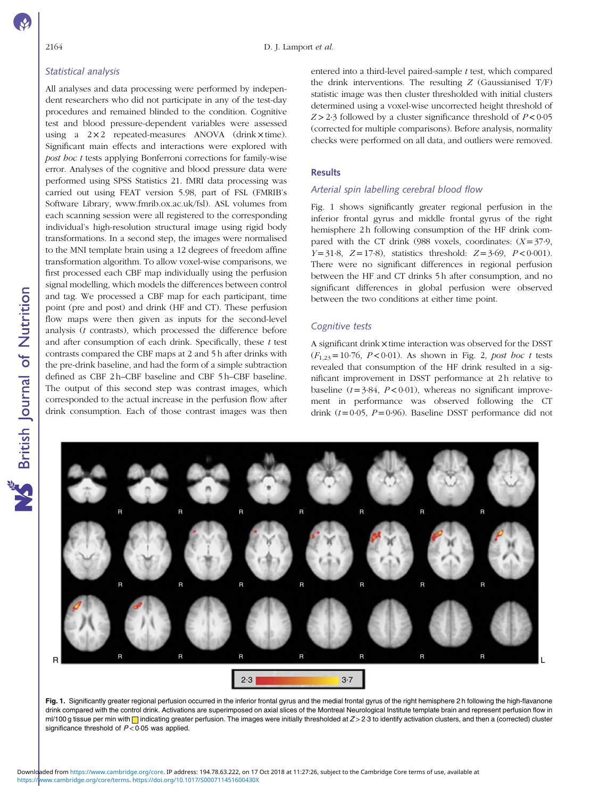# Statistical analysis

All analyses and data processing were performed by independent researchers who did not participate in any of the test-day procedures and remained blinded to the condition. Cognitive test and blood pressure-dependent variables were assessed using a  $2 \times 2$  repeated-measures ANOVA (drink  $\times$  time). Significant main effects and interactions were explored with post hoc t tests applying Bonferroni corrections for family-wise error. Analyses of the cognitive and blood pressure data were performed using SPSS Statistics 21. fMRI data processing was carried out using FEAT version 5.98, part of FSL (FMRIB's Software Library,<www.fmrib.ox.ac.uk/fsl>). ASL volumes from each scanning session were all registered to the corresponding individual's high-resolution structural image using rigid body transformations. In a second step, the images were normalised to the MNI template brain using a 12 degrees of freedom affine transformation algorithm. To allow voxel-wise comparisons, we first processed each CBF map individually using the perfusion signal modelling, which models the differences between control and tag. We processed a CBF map for each participant, time point (pre and post) and drink (HF and CT). These perfusion flow maps were then given as inputs for the second-level analysis (t contrasts), which processed the difference before and after consumption of each drink. Specifically, these  $t$  test contrasts compared the CBF maps at 2 and 5 h after drinks with the pre-drink baseline, and had the form of a simple subtraction defined as CBF 2 h–CBF baseline and CBF 5 h–CBF baseline. The output of this second step was contrast images, which corresponded to the actual increase in the perfusion flow after drink consumption. Each of those contrast images was then

entered into a third-level paired-sample  $t$  test, which compared the drink interventions. The resulting  $Z$  (Gaussianised  $T/F$ ) statistic image was then cluster thresholded with initial clusters determined using a voxel-wise uncorrected height threshold of  $Z > 2.3$  followed by a cluster significance threshold of  $P < 0.05$ (corrected for multiple comparisons). Before analysis, normality checks were performed on all data, and outliers were removed.

# Results

# Arterial spin labelling cerebral blood flow

Fig. 1 shows significantly greater regional perfusion in the inferior frontal gyrus and middle frontal gyrus of the right hemisphere 2h following consumption of the HF drink compared with the CT drink (988 voxels, coordinates:  $(X=37.9,$  $Y=31.8$ ,  $Z=17.8$ ), statistics threshold:  $Z=3.69$ ,  $P<0.001$ ). There were no significant differences in regional perfusion between the HF and CT drinks 5 h after consumption, and no significant differences in global perfusion were observed between the two conditions at either time point.

# Cognitive tests

A significant drink × time interaction was observed for the DSST  $(F_{1,23}= 10.76, P < 0.01)$ . As shown in [Fig. 2](#page-5-0), post hoc t tests revealed that consumption of the HF drink resulted in a significant improvement in DSST performance at 2 h relative to baseline ( $t=3.84$ ,  $P<0.01$ ), whereas no significant improvement in performance was observed following the CT drink  $(t=0.05, P=0.96)$ . Baseline DSST performance did not



Fig. 1. Significantly greater regional perfusion occurred in the inferior frontal gyrus and the medial frontal gyrus of the right hemisphere 2 h following the high-flavanone drink compared with the control drink. Activations are superimposed on axial slices of the Montreal Neurological Institute template brain and represent perfusion flow in ml/100 g tissue per min with  $\Box$  indicating greater perfusion. The images were initially thresholded at  $Z > 2.3$  to identify activation clusters, and then a (corrected) cluster significance threshold of  $P < 0.05$  was applied.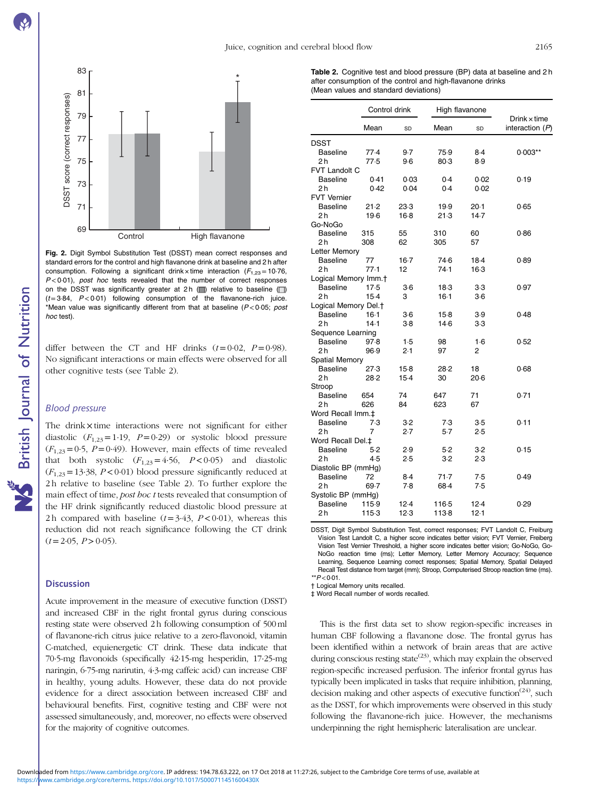<span id="page-5-0"></span>

Fig. 2. Digit Symbol Substitution Test (DSST) mean correct responses and standard errors for the control and high flavanone drink at baseline and 2 h after consumption. Following a significant drink  $\times$  time interaction ( $F_{1,23}$  = 10·76,  $P < 0.01$ ), post hoc tests revealed that the number of correct responses on the DSST was significantly greater at  $2 h$  ( $\Box$ ) relative to baseline  $\Box$ )  $(t=3.84, P<0.01)$  following consumption of the flavanone-rich juice. \*Mean value was significantly different from that at baseline ( $P < 0.05$ ; post hoc test).

differ between the CT and HF drinks  $(t=0.02, P=0.98)$ . No significant interactions or main effects were observed for all other cognitive tests (see Table 2).

# Blood pressure

NS British Journal of Nutrition

The drink x time interactions were not significant for either diastolic  $(F_{1,23}=1.19, P=0.29)$  or systolic blood pressure  $(F<sub>1,23</sub>=0.5, P=0.49)$ . However, main effects of time revealed that both systolic  $(F_{1,23} = 4.56, P < 0.05)$  and diastolic  $(F<sub>1,23</sub> = 13.38, P < 0.01)$  blood pressure significantly reduced at 2 h relative to baseline (see Table 2). To further explore the main effect of time, *post hoc t* tests revealed that consumption of the HF drink significantly reduced diastolic blood pressure at 2h compared with baseline  $(t=3.43, P<0.01)$ , whereas this reduction did not reach significance following the CT drink  $(t= 2.05, P>0.05)$ .

#### **Discussion**

Acute improvement in the measure of executive function (DSST) and increased CBF in the right frontal gyrus during conscious resting state were observed 2 h following consumption of 500 ml of flavanone-rich citrus juice relative to a zero-flavonoid, vitamin C-matched, equienergetic CT drink. These data indicate that 70·5-mg flavonoids (specifically 42·15-mg hesperidin, 17·25-mg naringin, 6·75-mg narirutin, 4·3-mg caffeic acid) can increase CBF in healthy, young adults. However, these data do not provide evidence for a direct association between increased CBF and behavioural benefits. First, cognitive testing and CBF were not assessed simultaneously, and, moreover, no effects were observed for the majority of cognitive outcomes.

Table 2. Cognitive test and blood pressure (BP) data at baseline and 2 h after consumption of the control and high-flavanone drinks (Mean values and standard deviations)

|                                  | Control drink |        |        | High flavanone |                                          |  |
|----------------------------------|---------------|--------|--------|----------------|------------------------------------------|--|
|                                  | Mean          | SD     | Mean   | SD             | $Drink \times time$<br>interaction $(P)$ |  |
| DSST                             |               |        |        |                |                                          |  |
| <b>Baseline</b>                  | 77.4          | 9.7    | 75.9   | $8-4$          | $0.003**$                                |  |
| 2 h                              | 77.5          | $9-6$  | 80.3   | 8.9            |                                          |  |
| FVT Landolt C                    |               |        |        |                |                                          |  |
| <b>Baseline</b>                  | 0.41          | 0.03   | 0.4    | 0.02           | 0.19                                     |  |
| 2h                               | 0.42          | 0.04   | 0.4    | 0.02           |                                          |  |
| <b>FVT Vernier</b>               |               |        |        |                |                                          |  |
| <b>Baseline</b>                  | 21.2          | 23.3   | 19.9   | $20-1$         | 0.65                                     |  |
| 2 h                              | 19.6          | $16-8$ | 21.3   | 14.7           |                                          |  |
| Go-NoGo                          |               |        |        |                |                                          |  |
| <b>Baseline</b>                  | 315           | 55     | 310    | 60             | 0.86                                     |  |
| 2 h                              | 308           | 62     | 305    | 57             |                                          |  |
| Letter Memory                    |               |        |        |                |                                          |  |
| <b>Baseline</b>                  | 77            | $16-7$ | 74.6   | 18.4           | 0.89                                     |  |
| 2 h                              | 77.1          | 12     | 74.1   | $16-3$         |                                          |  |
| Logical Memory Imm. <sup>+</sup> |               |        |        |                |                                          |  |
| <b>Baseline</b>                  | $17-5$        | $3-6$  | 18.3   | 3.3            | 0.97                                     |  |
| 2h                               | $15-4$        | 3      | $16-1$ | $3-6$          |                                          |  |
| Logical Memory Del. <sup>+</sup> |               |        |        |                |                                          |  |
| <b>Baseline</b>                  | $16-1$        | $3-6$  | $15-8$ | 3.9            | 0.48                                     |  |
| 2 <sub>h</sub>                   | 14.1          | $3-8$  | $14-6$ | $3-3$          |                                          |  |
|                                  |               |        |        |                |                                          |  |
| Sequence Learning                |               |        |        |                |                                          |  |
| <b>Baseline</b>                  | 97.8          | 1.5    | 98     | $1-6$          | 0.52                                     |  |
| 2h                               | 96.9          | 2.1    | 97     | 2              |                                          |  |
| <b>Spatial Memory</b>            |               |        |        |                |                                          |  |
| <b>Baseline</b>                  | 27.3          | 15-8   | 28.2   | 18             | 0.68                                     |  |
| 2 h                              | 28.2          | $15-4$ | 30     | $20-6$         |                                          |  |
| Stroop                           |               |        |        |                |                                          |  |
| <b>Baseline</b>                  | 654           | 74     | 647    | 71             | 0.71                                     |  |
| 2 h                              | 626           | 84     | 623    | 67             |                                          |  |
| Word Recall Imm.‡                |               |        |        |                |                                          |  |
| <b>Baseline</b>                  | 7.3           | 3.2    | 7.3    | 3.5            | 0.11                                     |  |
| 2 h                              | 7             | 2.7    | $5-7$  | 2.5            |                                          |  |
| Word Recall Del.‡                |               |        |        |                |                                          |  |
| <b>Baseline</b>                  | 5.2           | 2.9    | 5.2    | 3.2            | 0.15                                     |  |
| 2h                               | 4.5           | 2.5    | $3-2$  | 2.3            |                                          |  |
| Diastolic BP (mmHg)              |               |        |        |                |                                          |  |
| <b>Baseline</b>                  | 72            | 8.4    | 71.7   | 7.5            | 0.49                                     |  |
| 2 h                              | 69.7          | 7.8    | 68.4   | 7.5            |                                          |  |
| Systolic BP (mmHg)               |               |        |        |                |                                          |  |
| <b>Baseline</b>                  | 115.9         | $12-4$ | 116-5  | 12.4           | 0.29                                     |  |
| 2 h                              | 1153          | 12.3   | 113-8  | 12.1           |                                          |  |

DSST, Digit Symbol Substitution Test, correct responses; FVT Landolt C, Freiburg Vision Test Landolt C, a higher score indicates better vision; FVT Vernier, Freiberg Vision Test Vernier Threshold, a higher score indicates better vision; Go-NoGo, Go-NoGo reaction time (ms); Letter Memory, Letter Memory Accuracy; Sequence Learning, Sequence Learning correct responses; Spatial Memory, Spatial Delayed Recall Test distance from target (mm); Stroop, Computerised Stroop reaction time (ms).  $*$  $P$  < 0.01.

† Logical Memory units recalled.

‡ Word Recall number of words recalled.

This is the first data set to show region-specific increases in human CBF following a flavanone dose. The frontal gyrus has been identified within a network of brain areas that are active during conscious resting state $^{(23)}$  $^{(23)}$  $^{(23)}$ , which may explain the observed region-specific increased perfusion. The inferior frontal gyrus has typically been implicated in tasks that require inhibition, planning, decision making and other aspects of executive function<sup> $(24)$  $(24)$ </sup>, such as the DSST, for which improvements were observed in this study following the flavanone-rich juice. However, the mechanisms underpinning the right hemispheric lateralisation are unclear.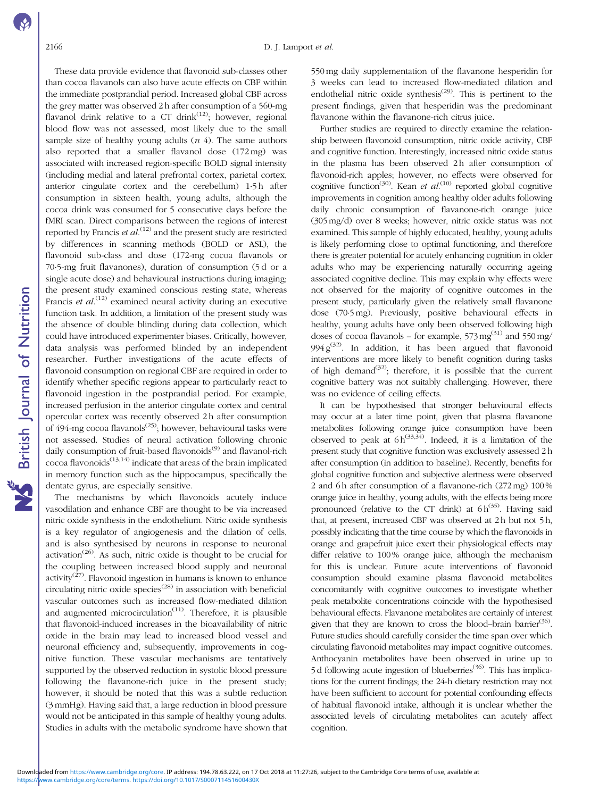These data provide evidence that flavonoid sub-classes other than cocoa flavanols can also have acute effects on CBF within the immediate postprandial period. Increased global CBF across the grey matter was observed 2 h after consumption of a 560-mg flavanol drink relative to a CT drink<sup>([12\)](#page-7-0)</sup>; however, regional blood flow was not assessed, most likely due to the small sample size of healthy young adults  $(n 4)$ . The same authors also reported that a smaller flavanol dose (172 mg) was associated with increased region-specific BOLD signal intensity (including medial and lateral prefrontal cortex, parietal cortex, anterior cingulate cortex and the cerebellum) 1·5 h after consumption in sixteen health, young adults, although the cocoa drink was consumed for 5 consecutive days before the fMRI scan. Direct comparisons between the regions of interest reported by Francis et  $al$ .<sup>([12](#page-7-0))</sup> and the present study are restricted by differences in scanning methods (BOLD or ASL), the flavonoid sub-class and dose (172-mg cocoa flavanols or 70·5-mg fruit flavanones), duration of consumption (5 d or a single acute dose) and behavioural instructions during imaging; the present study examined conscious resting state, whereas Francis *et al.*<sup>[\(12](#page-7-0))</sup> examined neural activity during an executive function task. In addition, a limitation of the present study was the absence of double blinding during data collection, which could have introduced experimenter biases. Critically, however, data analysis was performed blinded by an independent researcher. Further investigations of the acute effects of flavonoid consumption on regional CBF are required in order to identify whether specific regions appear to particularly react to flavonoid ingestion in the postprandial period. For example, increased perfusion in the anterior cingulate cortex and central opercular cortex was recently observed 2 h after consumption of 494-mg cocoa flavanols<sup>([25](#page-7-0))</sup>; however, behavioural tasks were not assessed. Studies of neural activation following chronic daily consumption of fruit-based flavonoids<sup>([9](#page-7-0))</sup> and flavanol-rich  $\overrightarrow{c}$ cocoa flavonoids<sup>([13](#page-7-0),[14\)](#page-7-0)</sup> indicate that areas of the brain implicated in memory function such as the hippocampus, specifically the dentate gyrus, are especially sensitive.

The mechanisms by which flavonoids acutely induce vasodilation and enhance CBF are thought to be via increased nitric oxide synthesis in the endothelium. Nitric oxide synthesis is a key regulator of angiogenesis and the dilation of cells, and is also synthesised by neurons in response to neuronal activation<sup> $(26)$ </sup>. As such, nitric oxide is thought to be crucial for the coupling between increased blood supply and neuronal activity<sup> $(27)$  $(27)$ </sup>. Flavonoid ingestion in humans is known to enhance circulating nitric oxide  $species^{(28)}$  $species^{(28)}$  $species^{(28)}$  in association with beneficial vascular outcomes such as increased flow-mediated dilation and augmented microcirculation<sup> $(11)$  $(11)$  $(11)$ </sup>. Therefore, it is plausible that flavonoid-induced increases in the bioavailability of nitric oxide in the brain may lead to increased blood vessel and neuronal efficiency and, subsequently, improvements in cognitive function. These vascular mechanisms are tentatively supported by the observed reduction in systolic blood pressure following the flavanone-rich juice in the present study; however, it should be noted that this was a subtle reduction (3 mmHg). Having said that, a large reduction in blood pressure would not be anticipated in this sample of healthy young adults. Studies in adults with the metabolic syndrome have shown that 550 mg daily supplementation of the flavanone hesperidin for 3 weeks can lead to increased flow-mediated dilation and endothelial nitric oxide synthesis<sup> $(29)$  $(29)$ </sup>. This is pertinent to the present findings, given that hesperidin was the predominant flavanone within the flavanone-rich citrus juice.

Further studies are required to directly examine the relationship between flavonoid consumption, nitric oxide activity, CBF and cognitive function. Interestingly, increased nitric oxide status in the plasma has been observed 2h after consumption of flavonoid-rich apples; however, no effects were observed for cognitive function<sup>([30](#page-7-0))</sup>. Kean et  $al$ <sup>[\(10\)](#page-7-0)</sup> reported global cognitive improvements in cognition among healthy older adults following daily chronic consumption of flavanone-rich orange juice (305 mg/d) over 8 weeks; however, nitric oxide status was not examined. This sample of highly educated, healthy, young adults is likely performing close to optimal functioning, and therefore there is greater potential for acutely enhancing cognition in older adults who may be experiencing naturally occurring ageing associated cognitive decline. This may explain why effects were not observed for the majority of cognitive outcomes in the present study, particularly given the relatively small flavanone dose (70·5 mg). Previously, positive behavioural effects in healthy, young adults have only been observed following high doses of cocoa flavanols – for example,  $573 \text{ mg}^{(31)}$  $573 \text{ mg}^{(31)}$  $573 \text{ mg}^{(31)}$  and  $550 \text{ mg}$ / 994  $g^{(32)}$  $g^{(32)}$  $g^{(32)}$ . In addition, it has been argued that flavonoid interventions are more likely to benefit cognition during tasks of high demand<sup>([32](#page-8-0))</sup>; therefore, it is possible that the current cognitive battery was not suitably challenging. However, there was no evidence of ceiling effects.

It can be hypothesised that stronger behavioural effects may occur at a later time point, given that plasma flavanone metabolites following orange juice consumption have been observed to peak at  $6 h^{(33,34)}$  $6 h^{(33,34)}$  $6 h^{(33,34)}$ . Indeed, it is a limitation of the present study that cognitive function was exclusively assessed 2 h after consumption (in addition to baseline). Recently, benefits for global cognitive function and subjective alertness were observed 2 and 6h after consumption of a flavanone-rich (272 mg) 100% orange juice in healthy, young adults, with the effects being more pronounced (relative to the CT drink) at  $6 h^{(35)}$  $6 h^{(35)}$  $6 h^{(35)}$ . Having said that, at present, increased CBF was observed at 2h but not 5h, possibly indicating that the time course by which the flavonoids in orange and grapefruit juice exert their physiological effects may differ relative to 100% orange juice, although the mechanism for this is unclear. Future acute interventions of flavonoid consumption should examine plasma flavonoid metabolites concomitantly with cognitive outcomes to investigate whether peak metabolite concentrations coincide with the hypothesised behavioural effects. Flavanone metabolites are certainly of interest given that they are known to cross the blood–brain barrier<sup>[\(36\)](#page-8-0)</sup>. Future studies should carefully consider the time span over which circulating flavonoid metabolites may impact cognitive outcomes. Anthocyanin metabolites have been observed in urine up to 5 d following acute ingestion of blueberries<sup> $(36)$  $(36)$ </sup>. This has implications for the current findings; the 24-h dietary restriction may not have been sufficient to account for potential confounding effects of habitual flavonoid intake, although it is unclear whether the associated levels of circulating metabolites can acutely affect cognition.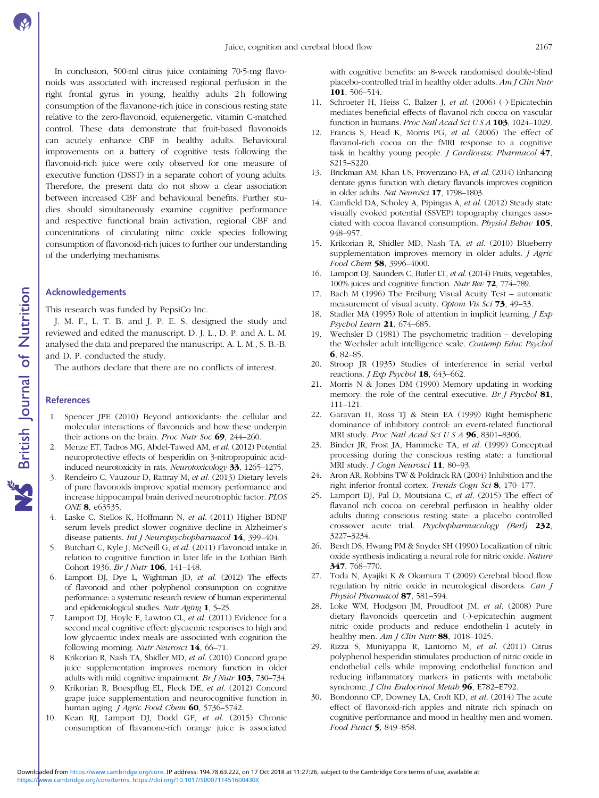<span id="page-7-0"></span>In conclusion, 500-ml citrus juice containing 70·5-mg flavonoids was associated with increased regional perfusion in the right frontal gyrus in young, healthy adults 2h following consumption of the flavanone-rich juice in conscious resting state relative to the zero-flavonoid, equienergetic, vitamin C-matched control. These data demonstrate that fruit-based flavonoids can acutely enhance CBF in healthy adults. Behavioural improvements on a battery of cognitive tests following the flavonoid-rich juice were only observed for one measure of executive function (DSST) in a separate cohort of young adults. Therefore, the present data do not show a clear association between increased CBF and behavioural benefits. Further studies should simultaneously examine cognitive performance and respective functional brain activation, regional CBF and concentrations of circulating nitric oxide species following consumption of flavonoid-rich juices to further our understanding of the underlying mechanisms.

#### Acknowledgements

This research was funded by PepsiCo Inc.

J. M. F., L. T. B. and J. P. E. S. designed the study and reviewed and edited the manuscript. D. J. L., D. P. and A. L. M. analysed the data and prepared the manuscript. A. L. M., S. B.-B. and D. P. conducted the study.

The authors declare that there are no conflicts of interest.

### **References**

- 1. Spencer JPE (2010) Beyond antioxidants: the cellular and molecular interactions of flavonoids and how these underpin their actions on the brain. Proc Nutr Soc 69, 244–260.
- 2. Menze ET, Tadros MG, Abdel-Tawed AM, et al. (2012) Potential neuroprotective effects of hesperidin on 3-nitropropuinic acidinduced neurotoxicity in rats. Neurotoxicology 33, 1265–1275.
- 3. Rendeiro C, Vauzour D, Rattray M, et al. (2013) Dietary levels of pure flavonoids improve spatial memory performance and increase hippocampal brain derived neurotrophic factor. PLOS ONE 8, e63535.
- 4. Laske C, Stellos K, Hoffmann N, et al. (2011) Higher BDNF serum levels predict slower cognitive decline in Alzheimer's disease patients. Int J Neuropsychopharmacol 14, 399–404.
- 5. Butchart C, Kyle J, McNeill G, et al. (2011) Flavonoid intake in relation to cognitive function in later life in the Lothian Birth Cohort 1936. Br J Nutr **106**, 141-148.
- 6. Lamport DJ, Dye L, Wightman JD, et al. (2012) The effects of flavonoid and other polyphenol consumption on cognitive performance: a systematic research review of human experimental and epidemiological studies. Nutr Aging 1, 5–25.
- 7. Lamport DJ, Hoyle E, Lawton CL, et al. (2011) Evidence for a second meal cognitive effect: glycaemic responses to high and low glycaemic index meals are associated with cognition the following morning. Nutr Neurosci 14, 66–71.
- 8. Krikorian R, Nash TA, Shidler MD, et al. (2010) Concord grape juice supplementation improves memory function in older adults with mild cognitive impairment. Br J Nutr 103, 730–734.
- 9. Krikorian R, Boespflug EL, Fleck DE, et al. (2012) Concord grape juice supplementation and neurocognitive function in human aging. J Agric Food Chem 60, 5736-5742.
- 10. Kean RJ, Lamport DJ, Dodd GF, et al. (2015) Chronic consumption of flavanone-rich orange juice is associated

with cognitive benefits: an 8-week randomised double-blind placebo-controlled trial in healthy older adults. Am J Clin Nutr 101, 506–514.

- 11. Schroeter H, Heiss C, Balzer J, et al. (2006) (-)-Epicatechin mediates beneficial effects of flavanol-rich cocoa on vascular function in humans. *Proc Natl Acad Sci U S A* **103**, 1024–1029.
- 12. Francis S, Head K, Morris PG, et al. (2006) The effect of flavanol-rich cocoa on the fMRI response to a cognitive task in healthy young people.  $J$  Cardiovasc Pharmacol  $47$ , S215–S220.
- 13. Brickman AM, Khan US, Provenzano FA, et al. (2014) Enhancing dentate gyrus function with dietary flavanols improves cognition in older adults. Nat NeuroSci 17, 1798–1803.
- 14. Camfield DA, Scholey A, Pipingas A, et al. (2012) Steady state visually evoked potential (SSVEP) topography changes associated with cocoa flavanol consumption. Physiol Behav 105, 948–957.
- 15. Krikorian R, Shidler MD, Nash TA, et al. (2010) Blueberry supplementation improves memory in older adults. J Agric Food Chem 58, 3996-4000.
- 16. Lamport DJ, Saunders C, Butler LT, et al. (2014) Fruits, vegetables, 100% juices and cognitive function. Nutr Rev 72, 774–789.
- 17. Bach M (1996) The Freiburg Visual Acuity Test automatic measurement of visual acuity. Optom Vis Sci 73, 49-53.
- 18. Stadler MA (1995) Role of attention in implicit learning. *J Exp* Psychol Learn 21, 674–685.
- 19. Wechsler D (1981) The psychometric tradition developing the Wechsler adult intelligence scale. Contemp Educ Psychol 6, 82–85.
- 20. Stroop JR (1935) Studies of interference in serial verbal reactions. *J Exp Psychol* **18**, 643-662.
- 21. Morris N & Jones DM (1990) Memory updating in working memory: the role of the central executive. Br J Psychol 81, 111–121.
- 22. Garavan H, Ross TJ & Stein EA (1999) Right hemispheric dominance of inhibitory control: an event-related functional MRI study. Proc Natl Acad Sci U S A 96, 8301-8306.
- 23. Binder JR, Frost JA, Hammeke TA, et al. (1999) Conceptual processing during the conscious resting state: a functional MRI study. J Cogn Neurosci 11, 80–93.
- 24. Aron AR, Robbins TW & Poldrack RA (2004) Inhibition and the right inferior frontal cortex. Trends Cogn Sci 8, 170–177.
- 25. Lamport DJ, Pal D, Moutsiana C, et al. (2015) The effect of flavanol rich cocoa on cerebral perfusion in healthy older adults during conscious resting state: a placebo controlled crossover acute trial. Psychopharmacology (Berl) 232, 3227–3234.
- 26. Berdt DS, Hwang PM & Snyder SH (1990) Localization of nitric oxide synthesis indicating a neural role for nitric oxide. Nature 347, 768–770.
- 27. Toda N, Ayajiki K & Okamura T (2009) Cerebral blood flow regulation by nitric oxide in neurological disorders. Can J Physiol Pharmacol 87, 581–594.
- 28. Loke WM, Hodgson JM, Proudfoot JM, et al. (2008) Pure dietary flavonoids quercetin and (-)-epicatechin augment nitric oxide products and reduce endothelin-1 acutely in healthy men.  $Am J Clin Nutr$  88, 1018-1025.
- 29. Rizza S, Muniyappa R, Lantorno M, et al. (2011) Citrus polyphenol hesperidin stimulates production of nitric oxide in endothelial cells while improving endothelial function and reducing inflammatory markers in patients with metabolic syndrome. *J Clin Endocrinol Metab* 96, E782-E792.
- 30. Bondonno CP, Downey LA, Croft KD, et al. (2014) The acute effect of flavonoid-rich apples and nitrate rich spinach on cognitive performance and mood in healthy men and women. Food Funct 5, 849–858.